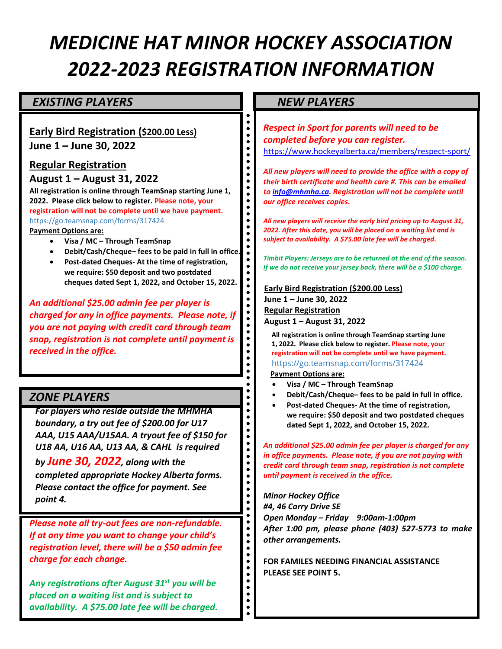# *MEDICINE HAT MINOR HOCKEY ASSOCIATION 2022-2023 REGISTRATION INFORMATION*

 $\begin{array}{c} \bullet \\ \bullet \\ \bullet \\ \bullet \end{array}$ 

 $\bullet$  $\bullet$  $\bullet$  $\bullet$  $\bullet$  $\bullet$  $\ddot{\bullet}$  $\bullet$  $\ddot{\bullet}$  $\ddot{\bullet}$  $\bullet$  $\bullet$  $\bullet$  $\bullet$  $\bullet$ 

 $\bullet$  $\bullet$  $\bullet$  $\bullet$  $\bullet$  $\bullet$  $\ddot{\bullet}$  $\bullet$  $\bullet$  $\bullet$  $\bullet$  $\bullet$  $\bullet$  $\bullet$  $\bullet$  $\bullet$  $\bullet$  $\bullet$  $\bullet$  $\ddot{\bullet}$  $\bullet$  $\bullet$  $\bullet$  $\bullet$  $\bullet$  $\bullet$  $\bullet$  $\ddot{\bullet}$  $\ddot{\bullet}$  $\bullet$  $\bullet$  $\bullet$  $\bullet$  $\bullet$  $\bullet$  $\bullet$  $\bullet$  $\ddot{\bullet}$  $\ddot{\bullet}$  $\ddot{\bullet}$ 

#### **EXISTING PLAYERS NEW PLAYERS**

#### **Early Bird Registration (\$200.00 Less)**

**June 1 – June 30, 2022**

#### **Regular Registration**

**August 1 – August 31, 2022**

**All registration is online through TeamSnap starting June 1, 2022. Please click below to register. Please note, your registration will not be complete until we have payment.**  <https://go.teamsnap.com/forms/317424> **Payment Options are:**

- **Visa / MC – Through TeamSnap**
- **Debit/Cash/Cheque– fees to be paid in full in office.**
- **Post-dated Cheques- At the time of registration, we require: \$50 deposit and two postdated cheques dated Sept 1, 2022, and October 15, 2022.**

*An additional \$25.00 admin fee per player is charged for any in office payments. Please note, if you are not paying with credit card through team snap, registration is not complete until payment is received in the office.* 

### *ZONE PLAYERS*

*For players who reside outside the MHMHA boundary, a try out fee of \$200.00 for U17 AAA, U15 AAA/U15AA. A tryout fee of \$150 for U18 AA, U16 AA, U13 AA, & CAHL is required* 

*by June 30, 2022, along with the completed appropriate Hockey Alberta forms. Please contact the office for payment. See point 4.*

*Please note all try-out fees are non-refundable. If at any time you want to change your child's registration level, there will be a \$50 admin fee charge for each change.* 

*Any registrations after August 31st you will be placed on a waiting list and is subject to availability. A \$75.00 late fee will be charged.*

*Respect in Sport for parents will need to be completed before you can register.* <https://www.hockeyalberta.ca/members/respect-sport/>

*All new players will need to provide the office with a copy of their birth certificate and health care #. This can be emailed t[o info@mhmha.ca.](mailto:info@mhmha.ca) Registration will not be complete until our office receives copies.* 

*All new players will receive the early bird pricing up to August 31, 2022. After this date, you will be placed on a waiting list and is subject to availability. A \$75.00 late fee will be charged.*

*Timbit Players: Jerseys are to be returned at the end of the season. If we do not receive your jersey back, there will be a \$100 charge.* 

 **Early Bird Registration (\$200.00 Less) June 1 – June 30, 2022 Regular Registration August 1 – August 31, 2022**

**All registration is online through TeamSnap starting June 1, 2022. Please click below to register. Please note, your registration will not be complete until we have payment.** 

<https://go.teamsnap.com/forms/317424>

- **Payment Options are:**
- **Visa / MC – Through TeamSnap**
- **Debit/Cash/Cheque– fees to be paid in full in office.**
- **Post-dated Cheques- At the time of registration, we require: \$50 deposit and two postdated cheques dated Sept 1, 2022, and October 15, 2022.**

*An additional \$25.00 admin fee per player is charged for any in office payments. Please note, if you are not paying with credit card through team snap, registration is not complete until payment is received in the office.* 

*Minor Hockey Office #4, 46 Carry Drive SE Open Monday – Friday 9:00am-1:00pm After 1:00 pm, please phone (403) 527-5773 to make other arrangements.* 

**FOR FAMILES NEEDING FINANCIAL ASSISTANCE PLEASE SEE POINT 5.**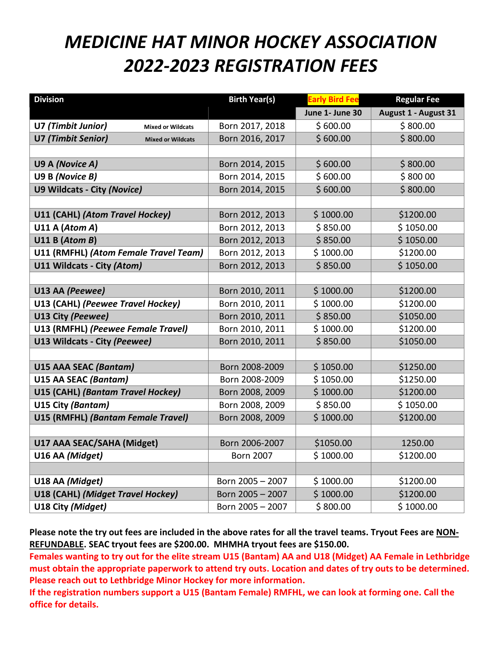## *MEDICINE HAT MINOR HOCKEY ASSOCIATION 2022-2023 REGISTRATION FEES*

| <b>Division</b>                                       | <b>Birth Year(s)</b> | <b>Early Bird Fee</b> | <b>Regular Fee</b>   |
|-------------------------------------------------------|----------------------|-----------------------|----------------------|
|                                                       |                      | June 1- June 30       | August 1 - August 31 |
| U7 (Timbit Junior)<br><b>Mixed or Wildcats</b>        | Born 2017, 2018      | \$600.00              | \$800.00             |
| <b>U7 (Timbit Senior)</b><br><b>Mixed or Wildcats</b> | Born 2016, 2017      | \$600.00              | \$800.00             |
|                                                       |                      |                       |                      |
| U9 A (Novice A)                                       | Born 2014, 2015      | \$600.00              | \$800.00             |
| U9 B (Novice B)                                       | Born 2014, 2015      | \$600.00              | \$80000              |
| U9 Wildcats - City (Novice)                           | Born 2014, 2015      | \$600.00              | \$800.00             |
|                                                       |                      |                       |                      |
| U11 (CAHL) (Atom Travel Hockey)                       | Born 2012, 2013      | \$1000.00             | \$1200.00            |
| U11 A (Atom A)                                        | Born 2012, 2013      | \$850.00              | \$1050.00            |
| U11 B (Atom B)                                        | Born 2012, 2013      | \$850.00              | \$1050.00            |
| U11 (RMFHL) (Atom Female Travel Team)                 | Born 2012, 2013      | \$1000.00             | \$1200.00            |
| U11 Wildcats - City (Atom)                            | Born 2012, 2013      | \$850.00              | \$1050.00            |
|                                                       |                      |                       |                      |
| U13 AA (Peewee)                                       | Born 2010, 2011      | \$1000.00             | \$1200.00            |
| U13 (CAHL) (Peewee Travel Hockey)                     | Born 2010, 2011      | \$1000.00             | \$1200.00            |
| U13 City (Peewee)                                     | Born 2010, 2011      | \$850.00              | \$1050.00            |
| U13 (RMFHL) (Peewee Female Travel)                    | Born 2010, 2011      | \$1000.00             | \$1200.00            |
| U13 Wildcats - City (Peewee)                          | Born 2010, 2011      | \$850.00              | \$1050.00            |
|                                                       |                      |                       |                      |
| <b>U15 AAA SEAC (Bantam)</b>                          | Born 2008-2009       | \$1050.00             | \$1250.00            |
| U15 AA SEAC (Bantam)                                  | Born 2008-2009       | \$1050.00             | \$1250.00            |
| U15 (CAHL) (Bantam Travel Hockey)                     | Born 2008, 2009      | \$1000.00             | \$1200.00            |
| U15 City (Bantam)                                     | Born 2008, 2009      | \$850.00              | \$1050.00            |
| U15 (RMFHL) (Bantam Female Travel)                    | Born 2008, 2009      | \$1000.00             | \$1200.00            |
|                                                       |                      |                       |                      |
| U17 AAA SEAC/SAHA (Midget)                            | Born 2006-2007       | \$1050.00             | 1250.00              |
| U16 AA (Midget)                                       | <b>Born 2007</b>     | \$1000.00             | \$1200.00            |
|                                                       |                      |                       |                      |
| U18 AA (Midget)                                       | Born 2005 - 2007     | \$1000.00             | \$1200.00            |
| U18 (CAHL) (Midget Travel Hockey)                     | Born 2005 - 2007     | \$1000.00             | \$1200.00            |
| U18 City (Midget)                                     | Born 2005 - 2007     | \$800.00              | \$1000.00            |

**Please note the try out fees are included in the above rates for all the travel teams. Tryout Fees are NON-REFUNDABLE. SEAC tryout fees are \$200.00. MHMHA tryout fees are \$150.00.**

**Females wanting to try out for the elite stream U15 (Bantam) AA and U18 (Midget) AA Female in Lethbridge must obtain the appropriate paperwork to attend try outs. Location and dates of try outs to be determined. Please reach out to Lethbridge Minor Hockey for more information.** 

**If the registration numbers support a U15 (Bantam Female) RMFHL, we can look at forming one. Call the office for details.**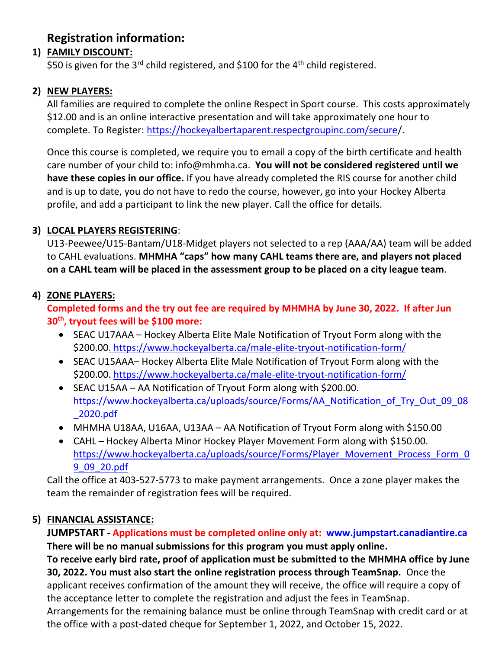## **Registration information:**

#### **1) FAMILY DISCOUNT:**

\$50 is given for the 3<sup>rd</sup> child registered, and \$100 for the 4<sup>th</sup> child registered.

#### **2) NEW PLAYERS:**

All families are required to complete the online Respect in Sport course. This costs approximately \$12.00 and is an online interactive presentation and will take approximately one hour to complete. To Register: [https://hockeyalbertaparent.respectgroupinc.com/secure/](https://hockeyalbertaparent.respectgroupinc.com/secure).

Once this course is completed, we require you to email a copy of the birth certificate and health care number of your child to: info@mhmha.ca. **You will not be considered registered until we have these copies in our office.** If you have already completed the RIS course for another child and is up to date, you do not have to redo the course, however, go into your Hockey Alberta profile, and add a participant to link the new player. Call the office for details.

#### **3) LOCAL PLAYERS REGISTERING**:

U13-Peewee/U15-Bantam/U18-Midget players not selected to a rep (AAA/AA) team will be added to CAHL evaluations. **MHMHA "caps" how many CAHL teams there are, and players not placed on a CAHL team will be placed in the assessment group to be placed on a city league team**.

#### **4) ZONE PLAYERS:**

#### **Completed forms and the try out fee are required by MHMHA by June 30, 2022. If after Jun 30th , tryout fees will be \$100 more:**

- SEAC U17AAA Hockey Alberta Elite Male Notification of Tryout Form along with the \$200.0[0. https://www.hockeyalberta.ca/male-elite-tryout-notification-form/](.%20https:/www.hockeyalberta.ca/male-elite-tryout-notification-form/)
- SEAC U15AAA– Hockey Alberta Elite Male Notification of Tryout Form along with the \$200.00. <https://www.hockeyalberta.ca/male-elite-tryout-notification-form/>
- SEAC U15AA AA Notification of Tryout Form along with \$200.00. [https://www.hockeyalberta.ca/uploads/source/Forms/AA\\_Notification\\_of\\_Try\\_Out\\_09\\_08](https://www.hockeyalberta.ca/uploads/source/Forms/AA_Notification_of_Try_Out_09_08_2020.pdf) [\\_2020.pdf](https://www.hockeyalberta.ca/uploads/source/Forms/AA_Notification_of_Try_Out_09_08_2020.pdf)
- MHMHA U18AA, U16AA, U13AA AA Notification of Tryout Form along with \$150.00
- CAHL Hockey Alberta Minor Hockey Player Movement Form along with \$150.00. [https://www.hockeyalberta.ca/uploads/source/Forms/Player\\_Movement\\_Process\\_Form\\_0](https://www.hockeyalberta.ca/uploads/source/Forms/Player_Movement_Process_Form_09_09_20.pdf) [9\\_09\\_20.pdf](https://www.hockeyalberta.ca/uploads/source/Forms/Player_Movement_Process_Form_09_09_20.pdf)

Call the office at 403-527-5773 to make payment arrangements. Once a zone player makes the team the remainder of registration fees will be required.

#### **5) FINANCIAL ASSISTANCE:**

**JUMPSTART - Applications must be completed online only at: [www.jumpstart.canadiantire.ca](http://www.jumpstart.canadiantire.ca/)  There will be no manual submissions for this program you must apply online.**

**To receive early bird rate, proof of application must be submitted to the MHMHA office by June 30, 2022. You must also start the online registration process through TeamSnap.** Once the applicant receives confirmation of the amount they will receive, the office will require a copy of the acceptance letter to complete the registration and adjust the fees in TeamSnap. Arrangements for the remaining balance must be online through TeamSnap with credit card or at the office with a post-dated cheque for September 1, 2022, and October 15, 2022.